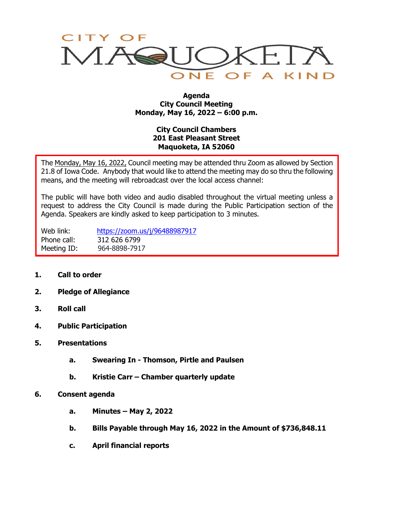

#### **Agenda City Council Meeting Monday, May 16, 2022 – 6:00 p.m.**

# **City Council Chambers 201 East Pleasant Street Maquoketa, IA 52060**

The Monday, May 16, 2022, Council meeting may be attended thru Zoom as allowed by Section 21.8 of Iowa Code. Anybody that would like to attend the meeting may do so thru the following means, and the meeting will rebroadcast over the local access channel:

The public will have both video and audio disabled throughout the virtual meeting unless a request to address the City Council is made during the Public Participation section of the Agenda. Speakers are kindly asked to keep participation to 3 minutes.

Web link: <https://zoom.us/j/96488987917> Phone call: 312 626 6799 Meeting ID: 964-8898-7917

- **1. Call to order**
- **2. Pledge of Allegiance**
- **3. Roll call**
- **4. Public Participation**
- **5. Presentations**
	- **a. Swearing In - Thomson, Pirtle and Paulsen**
	- **b. Kristie Carr – Chamber quarterly update**
- **6. Consent agenda**
	- **a. Minutes – May 2, 2022**
	- **b. Bills Payable through May 16, 2022 in the Amount of \$736,848.11**
	- **c. April financial reports**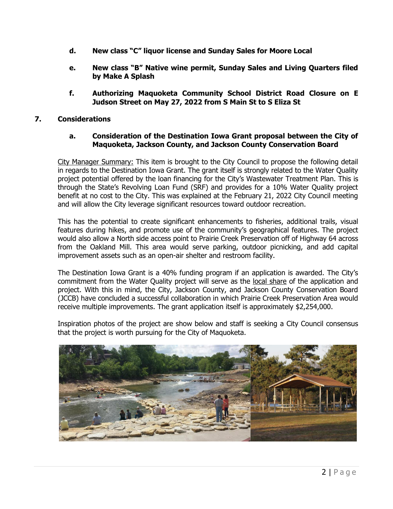- **d. New class "C" liquor license and Sunday Sales for Moore Local**
- **e. New class "B" Native wine permit, Sunday Sales and Living Quarters filed by Make A Splash**
- **f. Authorizing Maquoketa Community School District Road Closure on E Judson Street on May 27, 2022 from S Main St to S Eliza St**

## **7. Considerations**

### **a. Consideration of the Destination Iowa Grant proposal between the City of Maquoketa, Jackson County, and Jackson County Conservation Board**

City Manager Summary: This item is brought to the City Council to propose the following detail in regards to the Destination Iowa Grant. The grant itself is strongly related to the Water Quality project potential offered by the loan financing for the City's Wastewater Treatment Plan. This is through the State's Revolving Loan Fund (SRF) and provides for a 10% Water Quality project benefit at no cost to the City. This was explained at the February 21, 2022 City Council meeting and will allow the City leverage significant resources toward outdoor recreation.

This has the potential to create significant enhancements to fisheries, additional trails, visual features during hikes, and promote use of the community's geographical features. The project would also allow a North side access point to Prairie Creek Preservation off of Highway 64 across from the Oakland Mill. This area would serve parking, outdoor picnicking, and add capital improvement assets such as an open-air shelter and restroom facility.

The Destination Iowa Grant is a 40% funding program if an application is awarded. The City's commitment from the Water Quality project will serve as the local share of the application and project. With this in mind, the City, Jackson County, and Jackson County Conservation Board (JCCB) have concluded a successful collaboration in which Prairie Creek Preservation Area would receive multiple improvements. The grant application itself is approximately \$2,254,000.

Inspiration photos of the project are show below and staff is seeking a City Council consensus that the project is worth pursuing for the City of Maquoketa.

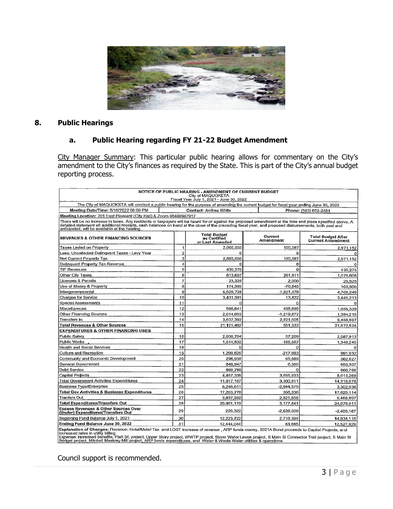

## **8. Public Hearings**

# **a. Public Hearing regarding FY 21-22 Budget Amendment**

City Manager Summary: This particular public hearing allows for commentary on the City's amendment to the City's finances as required by the State. This is part of the City's annual budget reporting process.

| NOTICE OF PUBLIC HEARING - AMENDMENT OF CURRENT BUDGET<br>City of MAQUOKETA<br>Fiscal Year July 1, 2021 - June 30, 2022                                                                                                                                                                                                                                                                                             |                |                                                        |                      |                                                       |  |  |  |  |
|---------------------------------------------------------------------------------------------------------------------------------------------------------------------------------------------------------------------------------------------------------------------------------------------------------------------------------------------------------------------------------------------------------------------|----------------|--------------------------------------------------------|----------------------|-------------------------------------------------------|--|--|--|--|
| The City of MAQUOKETA will conduct a public hearing for the purpose of amending the current budget for fiscal year ending June 30, 2022                                                                                                                                                                                                                                                                             |                |                                                        |                      |                                                       |  |  |  |  |
| Meeting Date/Time: 5/16/2022 06:00 PM                                                                                                                                                                                                                                                                                                                                                                               |                | <b>Contact: Andrea White</b>                           |                      | Phone: (563) 652-2484                                 |  |  |  |  |
| Meeting Location: 201 East Pleasant (City Hall) & Zoom 96488987917                                                                                                                                                                                                                                                                                                                                                  |                |                                                        |                      |                                                       |  |  |  |  |
| There will be no increase in taxes. Any residents or taxpayers will be heard for or against the proposed amendment at the time and place specified above, A<br>detailed statement of: additional roceipts, cash balances on hand at the close of the preceding fiscal year, and proposed disbursements, both past and<br>anticipated, will be available at the hearing.                                             |                |                                                        |                      |                                                       |  |  |  |  |
| <b>REVENUES &amp; OTHER FINANCING SOURCES</b>                                                                                                                                                                                                                                                                                                                                                                       |                | <b>Total Budget</b><br>as Certified<br>or Last Amended | Current<br>Amendment | <b>Total Budget After</b><br><b>Current Amendment</b> |  |  |  |  |
| Taxes Levied on Property                                                                                                                                                                                                                                                                                                                                                                                            | 1              | 2,865,555                                              | 105,597              | 2,971,152                                             |  |  |  |  |
| Less; Uncollected Delinquent Taxes - Levy Year                                                                                                                                                                                                                                                                                                                                                                      | $\overline{2}$ | ο                                                      |                      |                                                       |  |  |  |  |
| Net Current Property Tax                                                                                                                                                                                                                                                                                                                                                                                            | 3              | 2,865,555                                              | 105,597              | 2,971,152                                             |  |  |  |  |
| Delinguent Property Tax Revenue                                                                                                                                                                                                                                                                                                                                                                                     | 4              | 0                                                      | $\Omega$             | Ω                                                     |  |  |  |  |
| <b>TIF Revenues</b>                                                                                                                                                                                                                                                                                                                                                                                                 | 5              | 435,275                                                | $\bf{0}$             | 435,275                                               |  |  |  |  |
| Other City Taxes                                                                                                                                                                                                                                                                                                                                                                                                    | 6              | 813,697                                                | 261.911              | 1,075,608                                             |  |  |  |  |
| Licenses & Permits                                                                                                                                                                                                                                                                                                                                                                                                  | 7              | $-23.325$                                              | 2.000                | 25,325                                                |  |  |  |  |
| Use of Money & Property                                                                                                                                                                                                                                                                                                                                                                                             | 8              | 174,395                                                | $-70.845$            | 103,550                                               |  |  |  |  |
| Intergovernmental                                                                                                                                                                                                                                                                                                                                                                                                   | 9              | 6,529,728                                              | $-1,821,479$         | 4,708.249                                             |  |  |  |  |
| Charges for Service                                                                                                                                                                                                                                                                                                                                                                                                 | 10             | 3,431,391                                              | 13,822               | 3,445,213                                             |  |  |  |  |
| Special Assessments                                                                                                                                                                                                                                                                                                                                                                                                 | 11             | $\Omega$                                               | C                    |                                                       |  |  |  |  |
| Miscellaneous                                                                                                                                                                                                                                                                                                                                                                                                       | 12             | 596,641                                                | 458,698              | 1,055,339                                             |  |  |  |  |
| Other Financing Sources                                                                                                                                                                                                                                                                                                                                                                                             | 13             | 2,614,093                                              | $-1.219.877$         | 1,394,216                                             |  |  |  |  |
| Transfers In                                                                                                                                                                                                                                                                                                                                                                                                        | 14             | 3,637,392                                              | 2,821,505            | 6,458,897                                             |  |  |  |  |
| <b>Total Revenues &amp; Other Sources</b>                                                                                                                                                                                                                                                                                                                                                                           | 15             | 21.121.492                                             | 551,332              | 21,672,824                                            |  |  |  |  |
| <b>EXPENDITURES &amp; OTHER FINANCING USES</b>                                                                                                                                                                                                                                                                                                                                                                      |                |                                                        |                      |                                                       |  |  |  |  |
| <b>Public Safety</b>                                                                                                                                                                                                                                                                                                                                                                                                | 16             | 2.030.704                                              | 57.209               | 2,087,913                                             |  |  |  |  |
| Public Works                                                                                                                                                                                                                                                                                                                                                                                                        | 17             | 1,514,832                                              | $-166,587$           | 1.348.245                                             |  |  |  |  |
| Health and Social Services                                                                                                                                                                                                                                                                                                                                                                                          | 18             | $\Omega$                                               | Ω                    |                                                       |  |  |  |  |
| <b>Culture and Recreation</b>                                                                                                                                                                                                                                                                                                                                                                                       | 19             | 1,209,625                                              | -217,693             | 991,932                                               |  |  |  |  |
| Community and Economic Development                                                                                                                                                                                                                                                                                                                                                                                  | 20             | 296,938                                                | 65,689               | 362,627                                               |  |  |  |  |
| General Government                                                                                                                                                                                                                                                                                                                                                                                                  | 21             | 646,947                                                | 6,360                | 653,307                                               |  |  |  |  |
| <b>Debt Service</b>                                                                                                                                                                                                                                                                                                                                                                                                 | 22             | 860.786                                                | O                    | 860,786                                               |  |  |  |  |
| <b>Capital Projects</b>                                                                                                                                                                                                                                                                                                                                                                                             | 23             | 4.457.335                                              | 3,555,933            | 8,013,268                                             |  |  |  |  |
| <b>Total Government Activities Expenditures</b>                                                                                                                                                                                                                                                                                                                                                                     | 24             | 11,017,167                                             | 3.300.911            | 14,318,078                                            |  |  |  |  |
| <b>Business Type/Enterprise</b>                                                                                                                                                                                                                                                                                                                                                                                     | 25             | 6,246,611                                              | $-2,944,575$         | 3,302,036                                             |  |  |  |  |
| <b>Total Gov Activities &amp; Business Expenditures</b>                                                                                                                                                                                                                                                                                                                                                             | 26             | 17,263,778                                             | 356,336              | 17,620.114                                            |  |  |  |  |
| <b>Tranfers Out</b>                                                                                                                                                                                                                                                                                                                                                                                                 | 27             | 3,637,392                                              | 2,821,505            | 6,458,897                                             |  |  |  |  |
| <b>Total Expenditures/Transfers Out</b>                                                                                                                                                                                                                                                                                                                                                                             | 28             | 20,901,170                                             | 3,177,841            | 24,079,011                                            |  |  |  |  |
| <b>Excess Revenues &amp; Other Sources Over</b><br>(Under) Expenditures/Transfers Out                                                                                                                                                                                                                                                                                                                               | 29             | 220,322                                                | $-2,626,509$         | $-2,406,187$                                          |  |  |  |  |
| Beginning Fund Balance July 1, 2021                                                                                                                                                                                                                                                                                                                                                                                 | 30             | 12,223,722                                             | 2,710,394            | 14,934,116                                            |  |  |  |  |
| Ending Fund Balance June 30, 2022                                                                                                                                                                                                                                                                                                                                                                                   | 31             | 12,444,044                                             | 83.885               | 12,527,929                                            |  |  |  |  |
| Explanation of Changes: Revenue: Hotel/Motel Tax and LOST increase of revenue, ARP funds money, 2021A Bond proceeds to Capital Projects, and<br>increased rates in utility billing<br>$H_1$ Of analyzed the complete contract the contract of $H_2$ and $H_3$ and $H_4$ and $H_5$ and $H_6$ and $H_7$ and $H_8$ and $H_7$ and $H_8$ and $H_9$ and $H_9$ and $H_9$ and $H_9$ and $H_9$ and $H_9$ and $H_9$ and $H_9$ |                |                                                        |                      |                                                       |  |  |  |  |

Expense: Increased benefits, Platt St. project, Upper Story project, WWTP project, Storm Water Levee project, S Main St Connector Trail project, S Main St Connector Trail project, S Main St Connector Trail project, S Main

Council support is recommended.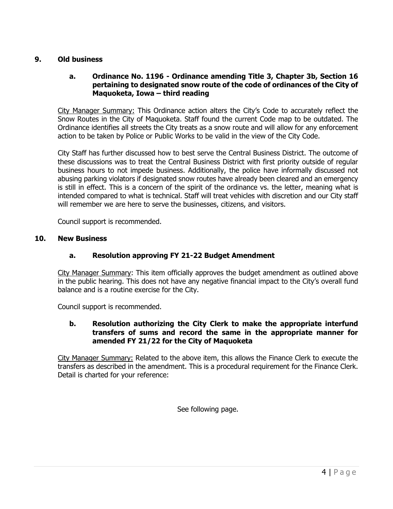## **9. Old business**

## **a. Ordinance No. 1196 - Ordinance amending Title 3, Chapter 3b, Section 16 pertaining to designated snow route of the code of ordinances of the City of Maquoketa, Iowa – third reading**

City Manager Summary: This Ordinance action alters the City's Code to accurately reflect the Snow Routes in the City of Maquoketa. Staff found the current Code map to be outdated. The Ordinance identifies all streets the City treats as a snow route and will allow for any enforcement action to be taken by Police or Public Works to be valid in the view of the City Code.

City Staff has further discussed how to best serve the Central Business District. The outcome of these discussions was to treat the Central Business District with first priority outside of regular business hours to not impede business. Additionally, the police have informally discussed not abusing parking violators if designated snow routes have already been cleared and an emergency is still in effect. This is a concern of the spirit of the ordinance vs. the letter, meaning what is intended compared to what is technical. Staff will treat vehicles with discretion and our City staff will remember we are here to serve the businesses, citizens, and visitors.

Council support is recommended.

#### **10. New Business**

### **a. Resolution approving FY 21-22 Budget Amendment**

City Manager Summary: This item officially approves the budget amendment as outlined above in the public hearing. This does not have any negative financial impact to the City's overall fund balance and is a routine exercise for the City.

Council support is recommended.

## **b. Resolution authorizing the City Clerk to make the appropriate interfund transfers of sums and record the same in the appropriate manner for amended FY 21/22 for the City of Maquoketa**

City Manager Summary: Related to the above item, this allows the Finance Clerk to execute the transfers as described in the amendment. This is a procedural requirement for the Finance Clerk. Detail is charted for your reference:

See following page.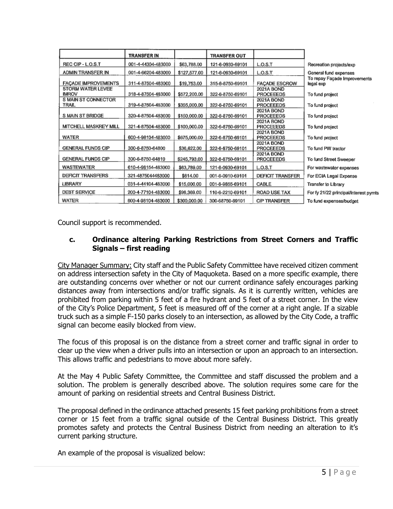|                            | <b>TRANSFER IN</b> |              | <b>TRANSFER OUT</b> |                      |                                           |
|----------------------------|--------------------|--------------|---------------------|----------------------|-------------------------------------------|
| REC CIP - L.O.S.T          | 001-4-44304-483000 | \$63,788.00  | 121-6-0930-69101    | L.O.S.T              | Recreation projects/exp                   |
| ADMIN TRANSFER IN          | 001-4-66204-483000 | \$127,577.00 | 121-6-0930-69101    | L.O.S.T              | General fund expenses                     |
| <b>FACADE IMPROVEMENTS</b> | 311-4-87504-483000 | \$19,753.00  | 315-6-8750-69101    | <b>FACADE ESCROW</b> | To repay Façade Improvements<br>legal exp |
| <b>STORM WATER LEVEE</b>   |                    |              |                     | <b>2021A BOND</b>    |                                           |
| <b>IMROV</b>               | 318-4-87504-483000 | \$572,200.00 | 322-6-8750-69101    | <b>PROCEEEDS</b>     | To fund project                           |
| S MAIN ST CONNECTOR        |                    |              |                     | 2021A BOND           |                                           |
| TRAIL.                     | 319-4-87504-483000 | \$355,000.00 | 322-6-8750-69101    | <b>PROCEEEDS</b>     | To fund project                           |
|                            |                    |              |                     | <b>2021A BOND</b>    |                                           |
| S MAIN ST BRIDGE           | 320-4-87504-483000 | \$150,000.00 | 322-6-8750-69101    | <b>PROCEEEDS</b>     | To fund project                           |
|                            |                    |              |                     | 2021A BOND           |                                           |
| MITCHELL MASKREY MILL      | 321-4-87504-483000 | \$100,000.00 | 322-6-8750-69101    | PROCEEEDS            | To fund project                           |
|                            |                    |              |                     | 2021A BOND           |                                           |
| WATER                      | 600-4-98104-483000 | \$675,000.00 | 322-6-8750-69101    | <b>PROCEEEDS</b>     | To fund project                           |
|                            |                    |              |                     | 2021A BOND           |                                           |
| <b>GENERAL FUNDS CIP</b>   | 300-6-8750-64800   | \$36,622.00  | 322-6-8750-69101    | PROCEEEDS            | To fund PW tractor                        |
|                            |                    |              |                     | <b>2021A BOND</b>    |                                           |
| <b>GENERAL FUNDS CIP</b>   | 300-6-8750-64810   | \$245,793.00 | 322-6-8750-69101    | <b>PROCEEEDS</b>     | To fund Street Sweeper                    |
| WASTEWATER                 | 610-4-98154-483000 | \$63,789.00  | 121-6-0930-69101    | L.O.S.T              | For wastewater expenses                   |
| <b>DEFICIT TRANSFERS</b>   | 321-4875044483000  | \$614.00     | 001-6-0910-69101    | DEFICIT TRANSFER     | For ECIA Legal Expense                    |
| LIBRARY                    | 031-4-44104-483000 | \$15,000.00  | 001-6-9855-69101    | CABLE                | Transfer to Library                       |
| <b>DEBT SERVICE</b>        | 200-4-77104-483000 | \$96,369.00  | 110-6-2210-69101    | ROAD USE TAX         | For fy 21/22 principal/interest pymts     |
| WATER                      | 600-4-98104-483000 | \$300,000.00 | 300-68750-69101     | <b>CIP TRANSFER</b>  | To fund expenses/budget                   |

Council support is recommended.

## **c. Ordinance altering Parking Restrictions from Street Corners and Traffic Signals – first reading**

City Manager Summary: City staff and the Public Safety Committee have received citizen comment on address intersection safety in the City of Maquoketa. Based on a more specific example, there are outstanding concerns over whether or not our current ordinance safely encourages parking distances away from intersections and/or traffic signals. As it is currently written, vehicles are prohibited from parking within 5 feet of a fire hydrant and 5 feet of a street corner. In the view of the City's Police Department, 5 feet is measured off of the corner at a right angle. If a sizable truck such as a simple F-150 parks closely to an intersection, as allowed by the City Code, a traffic signal can become easily blocked from view.

The focus of this proposal is on the distance from a street corner and traffic signal in order to clear up the view when a driver pulls into an intersection or upon an approach to an intersection. This allows traffic and pedestrians to move about more safely.

At the May 4 Public Safety Committee, the Committee and staff discussed the problem and a solution. The problem is generally described above. The solution requires some care for the amount of parking on residential streets and Central Business District.

The proposal defined in the ordinance attached presents 15 feet parking prohibitions from a street corner or 15 feet from a traffic signal outside of the Central Business District. This greatly promotes safety and protects the Central Business District from needing an alteration to it's current parking structure.

An example of the proposal is visualized below: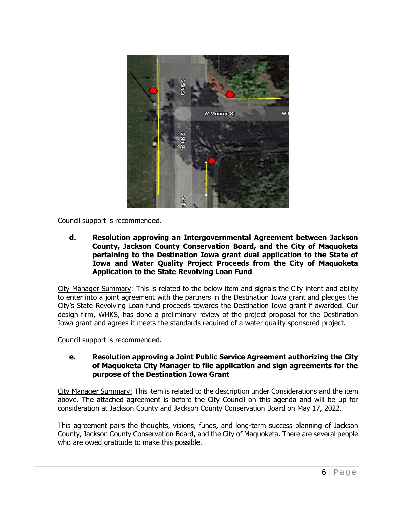

Council support is recommended.

**d. Resolution approving an Intergovernmental Agreement between Jackson County, Jackson County Conservation Board, and the City of Maquoketa pertaining to the Destination Iowa grant dual application to the State of Iowa and Water Quality Project Proceeds from the City of Maquoketa Application to the State Revolving Loan Fund**

City Manager Summary: This is related to the below item and signals the City intent and ability to enter into a joint agreement with the partners in the Destination Iowa grant and pledges the City's State Revolving Loan fund proceeds towards the Destination Iowa grant if awarded. Our design firm, WHKS, has done a preliminary review of the project proposal for the Destination Iowa grant and agrees it meets the standards required of a water quality sponsored project.

Council support is recommended.

## **e. Resolution approving a Joint Public Service Agreement authorizing the City of Maquoketa City Manager to file application and sign agreements for the purpose of the Destination Iowa Grant**

City Manager Summary: This item is related to the description under Considerations and the item above. The attached agreement is before the City Council on this agenda and will be up for consideration at Jackson County and Jackson County Conservation Board on May 17, 2022.

This agreement pairs the thoughts, visions, funds, and long-term success planning of Jackson County, Jackson County Conservation Board, and the City of Maquoketa. There are several people who are owed gratitude to make this possible.